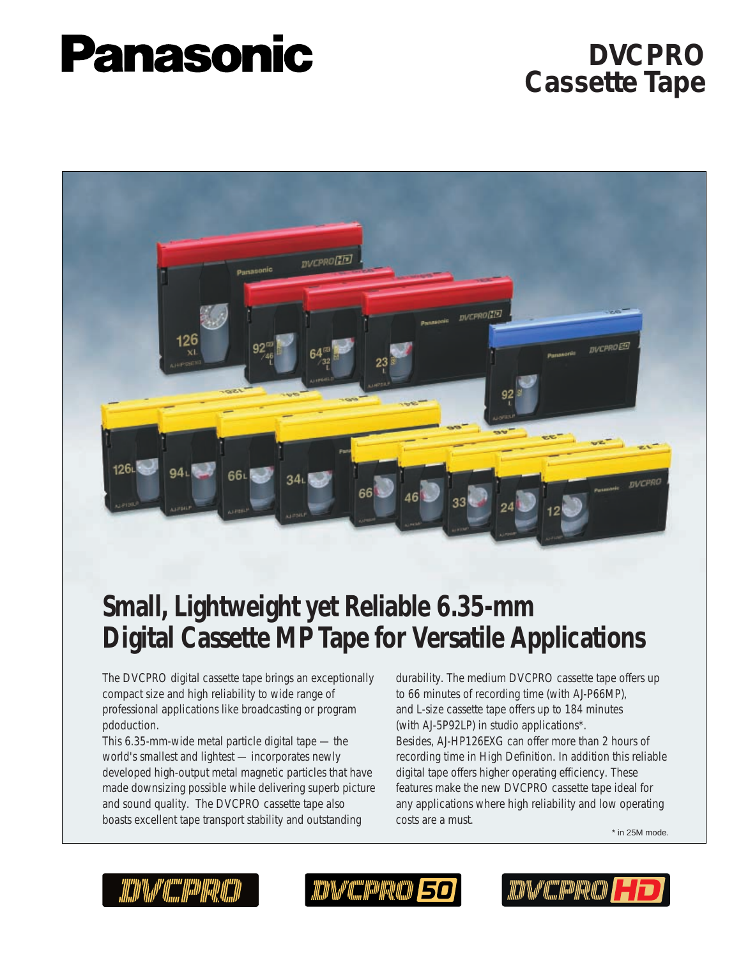# **Panasonic**

## **DVCPRO Cassette Tape**



# **Small, Lightweight yet Reliable 6.35-mm Digital Cassette MP Tape for Versatile Applications**

The DVCPRO digital cassette tape brings an exceptionally compact size and high reliability to wide range of professional applications like broadcasting or program pdoduction.

This 6.35-mm-wide metal particle digital tape — the world's smallest and lightest — incorporates newly developed high-output metal magnetic particles that have made downsizing possible while delivering superb picture and sound quality. The DVCPRO cassette tape also boasts excellent tape transport stability and outstanding

durability. The medium DVCPRO cassette tape offers up to 66 minutes of recording time (with AJ-P66MP), and L-size cassette tape offers up to 184 minutes (with AJ-5P92LP) in studio applications\*. Besides, AJ-HP126EXG can offer more than 2 hours of recording time in High Definition. In addition this reliable digital tape offers higher operating efficiency. These features make the new DVCPRO cassette tape ideal for any applications where high reliability and low operating costs are a must.

\* in 25M mode.



ICD'IM" (ISO ISO ISO ISO ISO